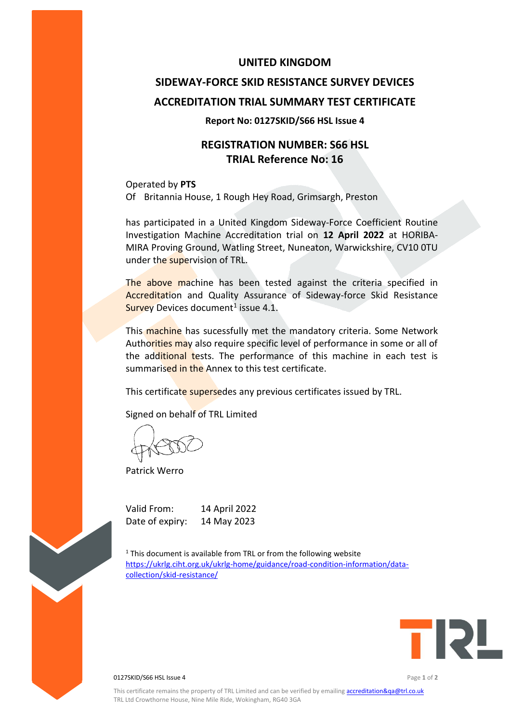### **UNITED KINGDOM**

# **SIDEWAY-FORCE SKID RESISTANCE SURVEY DEVICES ACCREDITATION TRIAL SUMMARY TEST CERTIFICATE**

#### **Report No: 0127SKID/S66 HSL Issue 4**

# **REGISTRATION NUMBER: S66 HSL TRIAL Reference No: 16**

Operated by **PTS** Of Britannia House, 1 Rough Hey Road, Grimsargh, Preston

has participated in a United Kingdom Sideway-Force Coefficient Routine Investigation Machine Accreditation trial on **12 April 2022** at HORIBA-MIRA Proving Ground, Watling Street, Nuneaton, Warwickshire, CV10 0TU under the supervision of TRL.

The above machine has been tested against the criteria specified in Accreditation and Quality Assurance of Sideway-force Skid Resistance Survey Devices document<sup>1</sup> issue 4.1.

This machine has sucessfully met the mandatory criteria. Some Network Authorities may also require specific level of performance in some or all of the additional tests. The performance of this machine in each test is summarised in the Annex to this test certificate.

This certificate supersedes any previous certificates issued by TRL.

Signed on behalf of TRL Limited

Patrick Werro

Valid From: 14 April 2022 Date of expiry: 14 May 2023

 $1$ <sup>1</sup> This document is available from TRL or from the following website [https://ukrlg.ciht.org.uk/ukrlg-home/guidance/road-condition-information/data](https://ukrlg.ciht.org.uk/ukrlg-home/guidance/road-condition-information/data-collection/skid-resistance/)[collection/skid-resistance/](https://ukrlg.ciht.org.uk/ukrlg-home/guidance/road-condition-information/data-collection/skid-resistance/)



0127SKID/S66 HSL Issue 4 Page **1** of **2**